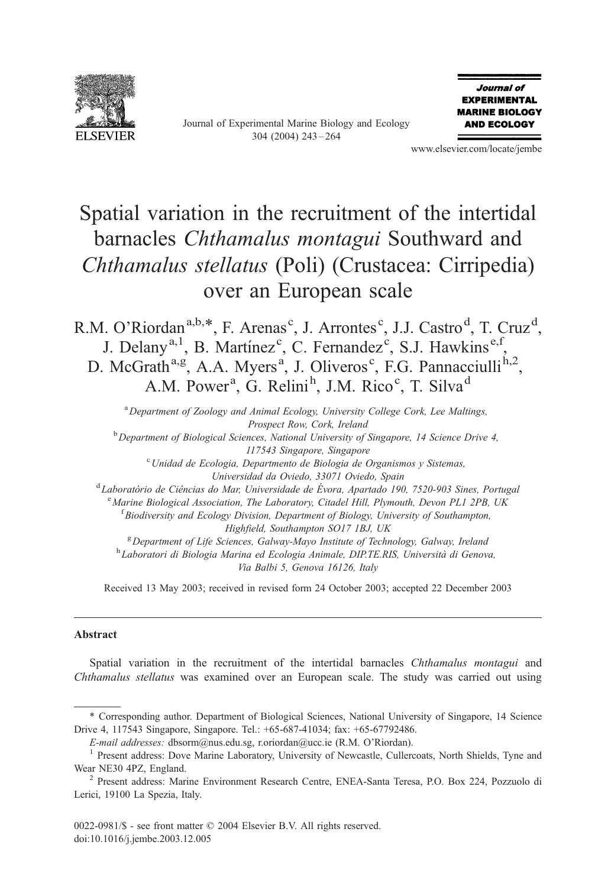

Journal of Experimental Marine Biology and Ecology 304 (2004) 243 – 264



www.elsevier.com/locate/jembe

# Spatial variation in the recruitment of the intertidal barnacles Chthamalus montagui Southward and Chthamalus stellatus (Poli) (Crustacea: Cirripedia) over an European scale

R.M. O'Riordan<sup>a,b,\*</sup>, F. Arenas<sup>c</sup>, J. Arrontes<sup>c</sup>, J.J. Castro<sup>d</sup>, T. Cruz<sup>d</sup>, J. Delany<sup>a, 1</sup>, B. Martínez<sup>c</sup>, C. Fernandez<sup>c</sup>, S.J. Hawkins<sup>e, f</sup>, D. McGrath<sup>a,g</sup>, A.A. Myers<sup>a</sup>, J. Oliveros<sup>c</sup>, F.G. Pannacciulli<sup>h,2</sup>, A.M. Power<sup>a</sup>, G. Relini<sup>h</sup>, J.M. Rico<sup>c</sup>, T. Silva<sup>d</sup>

<sup>a</sup> Department of Zoology and Animal Ecology, University College Cork, Lee Maltings, Prospect Row, Cork, Ireland  $b$  Department of Biological Sciences, National University of Singapore, 14 Science Drive 4, 117543 Singapore, Singapore<br><sup>c</sup>Unidad de Ecologia, Departmento de Biologia de Organismos y Sistemas, Universidad da Oviedo, 33071 Oviedo, Spain <sup>d</sup>Laboratório de Ciências do Mar, Universidade de Évora, Apartado 190, 7520-903 Sines, Portugal <sup>e</sup> Marine Biological Association, The Laboratory, Citadel Hill, Plymouth, Devon PL1 2PB, UK  ${}^{t}$ Biodiversity and Ecology Division, Department of Biology, University of Southampton, Highfield, Southampton SO17 1BJ, UK  $B$  Department of Life Sciences, Galway-Mayo Institute of Technology, Galway, Ireland <sup>h</sup> Laboratori di Biologia Marina ed Ecologia Animale, DIP.TE.RIS, Università di Genova,

Via Balbi 5, Genova 16126, Italy

Received 13 May 2003; received in revised form 24 October 2003; accepted 22 December 2003

#### Abstract

Spatial variation in the recruitment of the intertidal barnacles Chthamalus montagui and Chthamalus stellatus was examined over an European scale. The study was carried out using

<sup>\*</sup> Corresponding author. Department of Biological Sciences, National University of Singapore, 14 Science Drive 4, 117543 Singapore, Singapore. Tel.: +65-687-41034; fax: +65-67792486.

E-mail addresses: dbsorm@nus.edu.sg, r.oriordan@ucc.ie (R.M. O'Riordan).<br><sup>1</sup> Present address: Dove Marine Laboratory, University of Newcastle, Cullercoats, North Shields, Tyne and Wear NE30 4PZ, England. <sup>2</sup> Present address: Marine Environment Research Centre, ENEA-Santa Teresa, P.O. Box 224, Pozzuolo di

Lerici, 19100 La Spezia, Italy.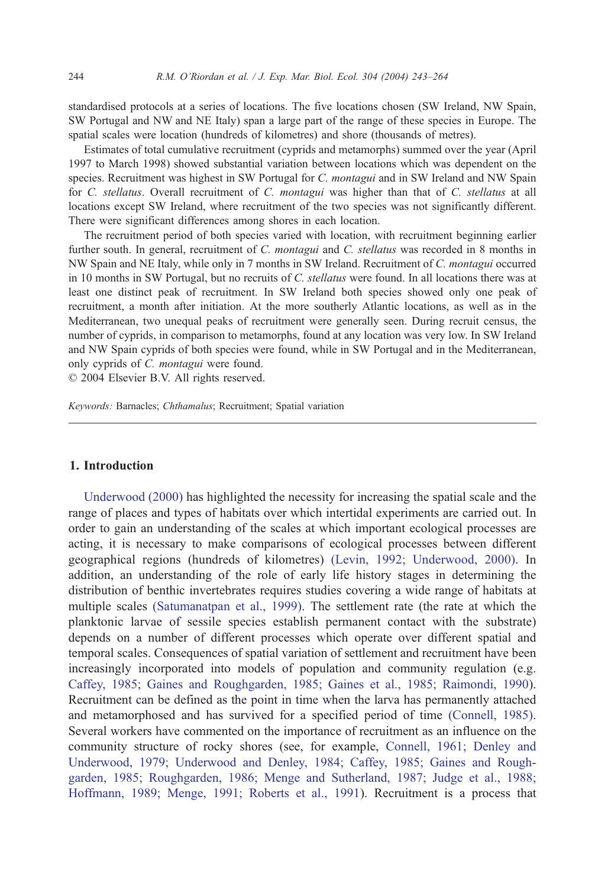standardised protocols at a series of locations. The five locations chosen (SW Ireland, NW Spain, SW Portugal and NW and NE Italy) span a large part of the range of these species in Europe. The spatial scales were location (hundreds of kilometres) and shore (thousands of metres).

Estimates of total cumulative recruitment (cyprids and metamorphs) summed over the year (April 1997 to March 1998) showed substantial variation between locations which was dependent on the species. Recruitment was highest in SW Portugal for C. montagui and in SW Ireland and NW Spain for C. stellatus. Overall recruitment of C. montagui was higher than that of C. stellatus at all locations except SW Ireland, where recruitment of the two species was not significantly different. There were significant differences among shores in each location.

The recruitment period of both species varied with location, with recruitment beginning earlier further south. In general, recruitment of C. montagui and C. stellatus was recorded in 8 months in NW Spain and NE Italy, while only in 7 months in SW Ireland. Recruitment of C. montagui occurred in 10 months in SW Portugal, but no recruits of C. stellatus were found. In all locations there was at least one distinct peak of recruitment. In SW Ireland both species showed only one peak of recruitment, a month after initiation. At the more southerly Atlantic locations, as well as in the Mediterranean, two unequal peaks of recruitment were generally seen. During recruit census, the number of cyprids, in comparison to metamorphs, found at any location was very low. In SW Ireland and NW Spain cyprids of both species were found, while in SW Portugal and in the Mediterranean, only cyprids of C. montagui were found.

 $© 2004 Elsevier B.V. All rights reserved.$ 

Keywords: Barnacles; Chthamalus; Recruitment; Spatial variation

## 1. Introduction

[Underwood \(2000\)](#page-21-0) has highlighted the necessity for increasing the spatial scale and the range of places and types of habitats over which intertidal experiments are carried out. In order to gain an understanding of the scales at which important ecological processes are acting, it is necessary to make comparisons of ecological processes between different geographical regions (hundreds of kilometres) [\(Levin, 1992; Underwood, 2000\).](#page-20-0) In addition, an understanding of the role of early life history stages in determining the distribution of benthic invertebrates requires studies covering a wide range of habitats at multiple scales [\(Satumanatpan et al., 1999\).](#page-21-0) The settlement rate (the rate at which the planktonic larvae of sessile species establish permanent contact with the substrate) depends on a number of different processes which operate over different spatial and temporal scales. Consequences of spatial variation of settlement and recruitment have been increasingly incorporated into models of population and community regulation (e.g. [Caffey, 1985; Gaines and Roughgarden, 1985; Gaines et al., 1985; Raimondi, 1990\)](#page-18-0). Recruitment can be defined as the point in time when the larva has permanently attached and metamorphosed and has survived for a specified period of time [\(Connell, 1985\).](#page-19-0) Several workers have commented on the importance of recruitment as an influence on the community structure of rocky shores (see, for example, [Connell, 1961; Denley and](#page-18-0) Underwood, 1979; Underwood and Denley, 1984; Caffey, 1985; Gaines and Roughgarden, 1985; Roughgarden, 1986; Menge and Sutherland, 1987; Judge et al., 1988; Hoffmann, 1989; Menge, 1991; Roberts et al., 1991). Recruitment is a process that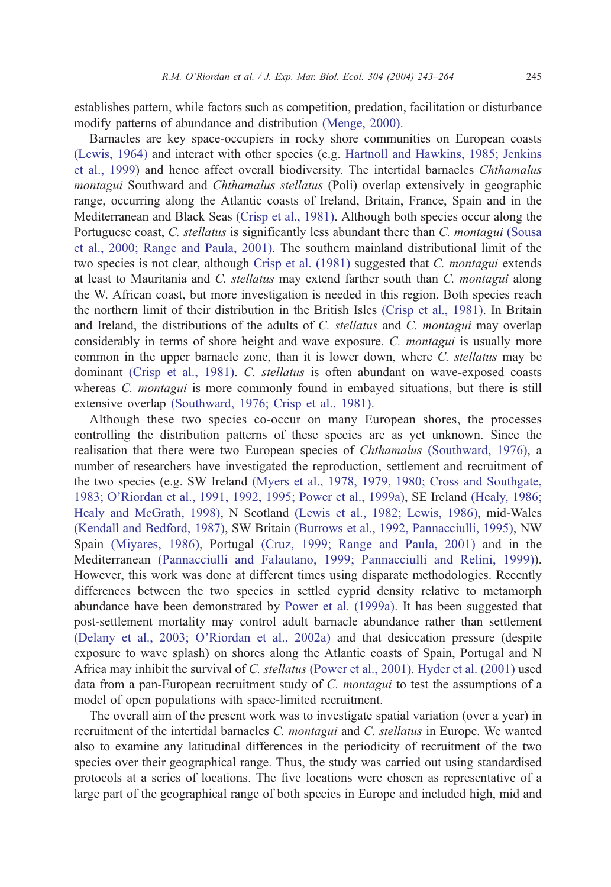establishes pattern, while factors such as competition, predation, facilitation or disturbance modify patterns of abundance and distribution [\(Menge, 2000\).](#page-20-0)

Barnacles are key space-occupiers in rocky shore communities on European coasts [\(Lewis, 1964\)](#page-20-0) and interact with other species (e.g. [Hartnoll and Hawkins, 1985; Jenkins](#page-19-0) et al., 1999) and hence affect overall biodiversity. The intertidal barnacles Chthamalus montagui Southward and Chthamalus stellatus (Poli) overlap extensively in geographic range, occurring along the Atlantic coasts of Ireland, Britain, France, Spain and in the Mediterranean and Black Seas [\(Crisp et al., 1981\).](#page-19-0) Although both species occur along the Portuguese coast, C. *stellatus* is significantly less abundant there than C. *montagui* [\(Sousa](#page-21-0) et al., 2000; Range and Paula, 2001). The southern mainland distributional limit of the two species is not clear, although [Crisp et al. \(1981\)](#page-19-0) suggested that C. montagui extends at least to Mauritania and C. stellatus may extend farther south than C. montagui along the W. African coast, but more investigation is needed in this region. Both species reach the northern limit of their distribution in the British Isles [\(Crisp et al., 1981\).](#page-19-0) In Britain and Ireland, the distributions of the adults of C. *stellatus* and C. *montagui* may overlap considerably in terms of shore height and wave exposure. C. *montagui* is usually more common in the upper barnacle zone, than it is lower down, where C. stellatus may be dominant [\(Crisp et al., 1981\).](#page-19-0) C. stellatus is often abundant on wave-exposed coasts whereas *C. montagui* is more commonly found in embayed situations, but there is still extensive overlap [\(Southward, 1976; Crisp et al., 1981\).](#page-21-0)

Although these two species co-occur on many European shores, the processes controlling the distribution patterns of these species are as yet unknown. Since the realisation that there were two European species of Chthamalus [\(Southward, 1976\),](#page-21-0) a number of researchers have investigated the reproduction, settlement and recruitment of the two species (e.g. SW Ireland [\(Myers et al., 1978, 1979, 1980; Cross and Southgate,](#page-20-0) 1983; O'Riordan et al., 1991, 1992, 1995; Power et al., 1999a), SE Ireland [\(Healy, 1986;](#page-19-0) Healy and McGrath, 1998), N Scotland [\(Lewis et al., 1982; Lewis, 1986\),](#page-20-0) mid-Wales [\(Kendall and Bedford, 1987\),](#page-19-0) SW Britain [\(Burrows et al., 1992, Pannacciulli, 1995\),](#page-18-0) NW Spain [\(Miyares, 1986\),](#page-20-0) Portugal [\(Cruz, 1999; Range and Paula, 2001\)](#page-19-0) and in the Mediterranean [\(Pannacciulli and Falautano, 1999; Pannacciulli and Relini, 1999\)\)](#page-21-0). However, this work was done at different times using disparate methodologies. Recently differences between the two species in settled cyprid density relative to metamorph abundance have been demonstrated by [Power et al. \(1999a\).](#page-21-0) It has been suggested that post-settlement mortality may control adult barnacle abundance rather than settlement [\(Delany et al., 2003; O'Riordan et al., 2002a\)](#page-19-0) and that desiccation pressure (despite exposure to wave splash) on shores along the Atlantic coasts of Spain, Portugal and N Africa may inhibit the survival of C. stellatus [\(Power et al., 2001\).](#page-21-0) [Hyder et al. \(2001\)](#page-19-0) used data from a pan-European recruitment study of C. montagui to test the assumptions of a model of open populations with space-limited recruitment.

The overall aim of the present work was to investigate spatial variation (over a year) in recruitment of the intertidal barnacles C. montagui and C. stellatus in Europe. We wanted also to examine any latitudinal differences in the periodicity of recruitment of the two species over their geographical range. Thus, the study was carried out using standardised protocols at a series of locations. The five locations were chosen as representative of a large part of the geographical range of both species in Europe and included high, mid and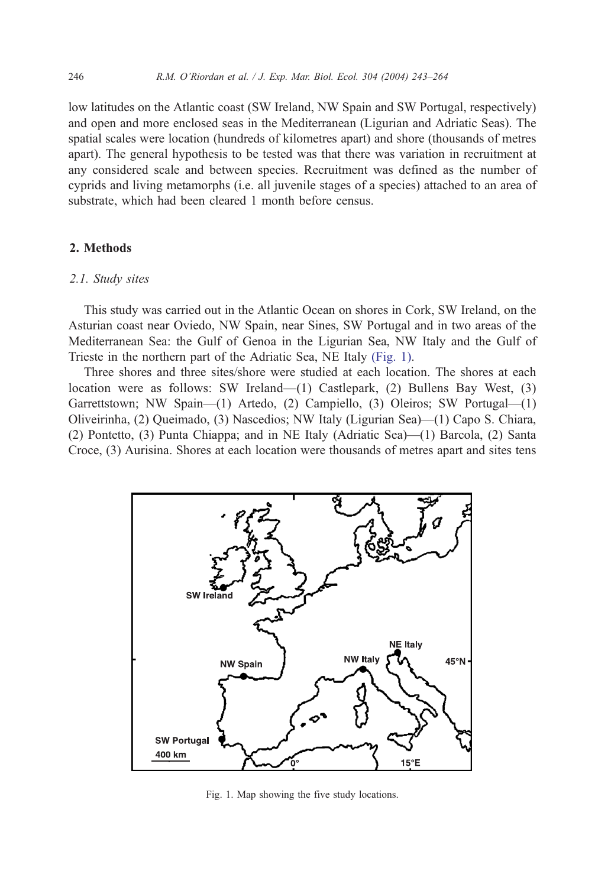low latitudes on the Atlantic coast (SW Ireland, NW Spain and SW Portugal, respectively) and open and more enclosed seas in the Mediterranean (Ligurian and Adriatic Seas). The spatial scales were location (hundreds of kilometres apart) and shore (thousands of metres apart). The general hypothesis to be tested was that there was variation in recruitment at any considered scale and between species. Recruitment was defined as the number of cyprids and living metamorphs (i.e. all juvenile stages of a species) attached to an area of substrate, which had been cleared 1 month before census.

## 2. Methods

#### 2.1. Study sites

This study was carried out in the Atlantic Ocean on shores in Cork, SW Ireland, on the Asturian coast near Oviedo, NW Spain, near Sines, SW Portugal and in two areas of the Mediterranean Sea: the Gulf of Genoa in the Ligurian Sea, NW Italy and the Gulf of Trieste in the northern part of the Adriatic Sea, NE Italy (Fig. 1).

Three shores and three sites/shore were studied at each location. The shores at each location were as follows: SW Ireland—(1) Castlepark, (2) Bullens Bay West, (3) Garrettstown; NW Spain—(1) Artedo, (2) Campiello, (3) Oleiros; SW Portugal—(1) Oliveirinha, (2) Queimado, (3) Nascedios; NW Italy (Ligurian Sea)—(1) Capo S. Chiara, (2) Pontetto, (3) Punta Chiappa; and in NE Italy (Adriatic Sea)—(1) Barcola, (2) Santa Croce, (3) Aurisina. Shores at each location were thousands of metres apart and sites tens



Fig. 1. Map showing the five study locations.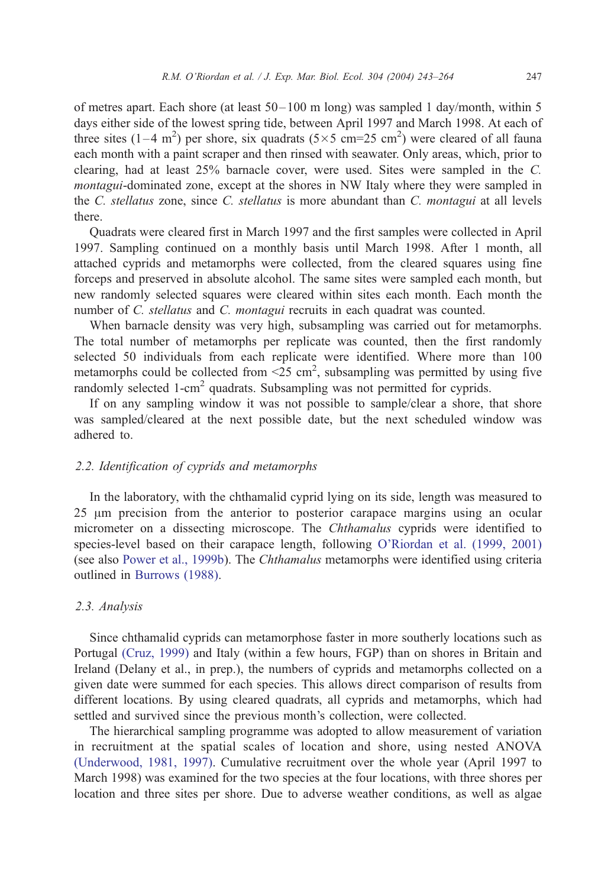of metres apart. Each shore (at least 50– 100 m long) was sampled 1 day/month, within 5 days either side of the lowest spring tide, between April 1997 and March 1998. At each of three sites  $(1-4 \text{ m}^2)$  per shore, six quadrats  $(5 \times 5 \text{ cm} = 25 \text{ cm}^2)$  were cleared of all fauna each month with a paint scraper and then rinsed with seawater. Only areas, which, prior to clearing, had at least 25% barnacle cover, were used. Sites were sampled in the C. montagui-dominated zone, except at the shores in NW Italy where they were sampled in the C. stellatus zone, since C. stellatus is more abundant than C. montagui at all levels there.

Quadrats were cleared first in March 1997 and the first samples were collected in April 1997. Sampling continued on a monthly basis until March 1998. After 1 month, all attached cyprids and metamorphs were collected, from the cleared squares using fine forceps and preserved in absolute alcohol. The same sites were sampled each month, but new randomly selected squares were cleared within sites each month. Each month the number of C. *stellatus* and C. *montagui* recruits in each quadrat was counted.

When barnacle density was very high, subsampling was carried out for metamorphs. The total number of metamorphs per replicate was counted, then the first randomly selected 50 individuals from each replicate were identified. Where more than 100 metamorphs could be collected from  $\leq 25$  cm<sup>2</sup>, subsampling was permitted by using five randomly selected  $1$ -cm<sup>2</sup> quadrats. Subsampling was not permitted for cyprids.

If on any sampling window it was not possible to sample/clear a shore, that shore was sampled/cleared at the next possible date, but the next scheduled window was adhered to.

#### 2.2. Identification of cyprids and metamorphs

In the laboratory, with the chthamalid cyprid lying on its side, length was measured to 25 Am precision from the anterior to posterior carapace margins using an ocular micrometer on a dissecting microscope. The Chthamalus cyprids were identified to species-level based on their carapace length, following [O'Riordan et al. \(1999, 2001\)](#page-20-0) (see also [Power et al., 1999b\)](#page-21-0). The Chthamalus metamorphs were identified using criteria outlined in [Burrows \(1988\).](#page-18-0)

#### 2.3. Analysis

Since chthamalid cyprids can metamorphose faster in more southerly locations such as Portugal [\(Cruz, 1999\)](#page-19-0) and Italy (within a few hours, FGP) than on shores in Britain and Ireland (Delany et al., in prep.), the numbers of cyprids and metamorphs collected on a given date were summed for each species. This allows direct comparison of results from different locations. By using cleared quadrats, all cyprids and metamorphs, which had settled and survived since the previous month's collection, were collected.

The hierarchical sampling programme was adopted to allow measurement of variation in recruitment at the spatial scales of location and shore, using nested ANOVA [\(Underwood, 1981, 1997\).](#page-21-0) Cumulative recruitment over the whole year (April 1997 to March 1998) was examined for the two species at the four locations, with three shores per location and three sites per shore. Due to adverse weather conditions, as well as algae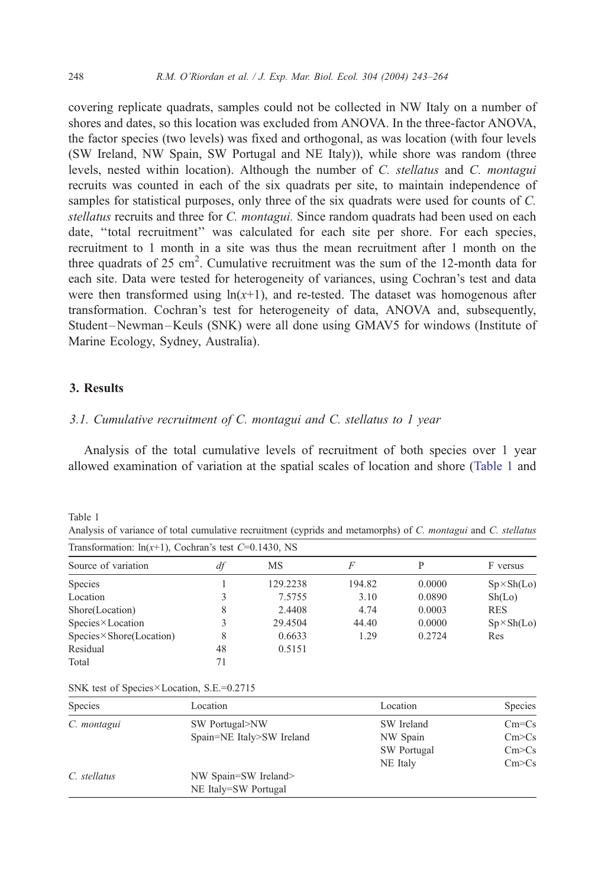covering replicate quadrats, samples could not be collected in NW Italy on a number of shores and dates, so this location was excluded from ANOVA. In the three-factor ANOVA, the factor species (two levels) was fixed and orthogonal, as was location (with four levels (SW Ireland, NW Spain, SW Portugal and NE Italy)), while shore was random (three levels, nested within location). Although the number of C. stellatus and C. montagui recruits was counted in each of the six quadrats per site, to maintain independence of samples for statistical purposes, only three of the six quadrats were used for counts of C. stellatus recruits and three for C. montagui. Since random quadrats had been used on each date, ''total recruitment'' was calculated for each site per shore. For each species, recruitment to 1 month in a site was thus the mean recruitment after 1 month on the three quadrats of 25 cm<sup>2</sup>. Cumulative recruitment was the sum of the 12-month data for each site. Data were tested for heterogeneity of variances, using Cochran's test and data were then transformed using  $ln(x+1)$ , and re-tested. The dataset was homogenous after transformation. Cochran's test for heterogeneity of data, ANOVA and, subsequently, Student –Newman –Keuls (SNK) were all done using GMAV5 for windows (Institute of Marine Ecology, Sydney, Australia).

## 3. Results

#### 3.1. Cumulative recruitment of C. montagui and C. stellatus to 1 year

Analysis of the total cumulative levels of recruitment of both species over 1 year allowed examination of variation at the spatial scales of location and shore (Table 1 and

Table 1

Analysis of variance of total cumulative recruitment (cyprids and metamorphs) of C. montagui and C. stellatus

| Transformation: $ln(x+1)$ , Cochran's test C=0.1430, NS |    |          |        |        |                    |
|---------------------------------------------------------|----|----------|--------|--------|--------------------|
| Source of variation                                     | df | MS       | F      | P      | F versus           |
| Species                                                 |    | 129.2238 | 194.82 | 0.0000 | $Sp \times Sh(Lo)$ |
| Location                                                |    | 7.5755   | 3.10   | 0.0890 | Sh(Lo)             |
| Shore(Location)                                         | 8  | 2.4408   | 4.74   | 0.0003 | <b>RES</b>         |
| $Species \times Location$                               |    | 29.4504  | 44.40  | 0.0000 | $Sp \times Sh(Lo)$ |
| $\text{Species} \times \text{Shore}(\text{Location})$   | 8  | 0.6633   | 1.29   | 0.2724 | Res                |
| Residual                                                | 48 | 0.5151   |        |        |                    |
| Total                                                   | 71 |          |        |        |                    |

|  |  |  | SNK test of Species×Location, S.E.=0.2715 |  |  |
|--|--|--|-------------------------------------------|--|--|
|--|--|--|-------------------------------------------|--|--|

| <b>Species</b> | Location                  | Location    | Species   |
|----------------|---------------------------|-------------|-----------|
| C. montagui    | SW Portugal>NW            | SW Ireland  | $Cm = Cs$ |
|                | Spain=NE Italy>SW Ireland | NW Spain    | Cm > Cs   |
|                |                           | SW Portugal | Cm > Cs   |
|                |                           | NE Italy    | Cm > Cs   |
| C. stellatus   | NW Spain=SW Ireland>      |             |           |
|                | NE Italy=SW Portugal      |             |           |

<span id="page-5-0"></span>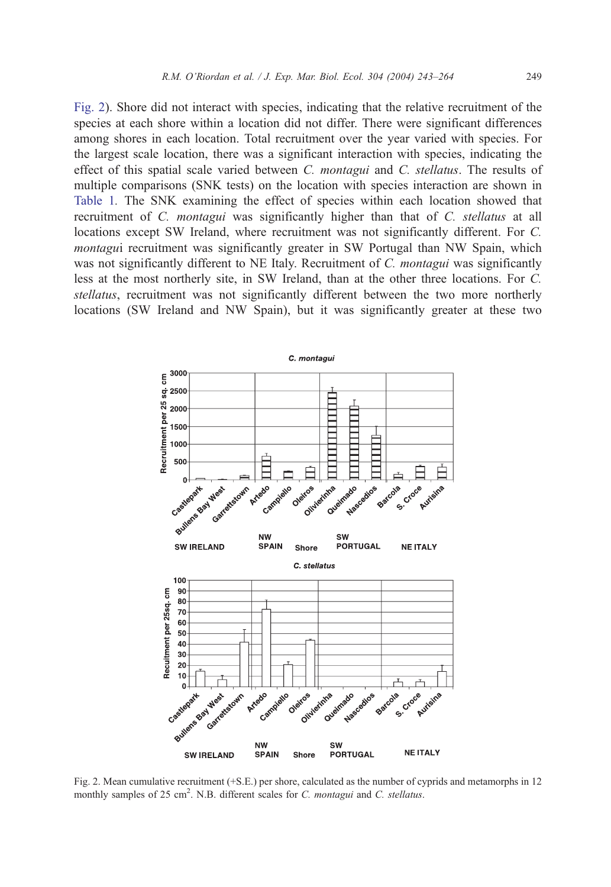<span id="page-6-0"></span>Fig. 2). Shore did not interact with species, indicating that the relative recruitment of the species at each shore within a location did not differ. There were significant differences among shores in each location. Total recruitment over the year varied with species. For the largest scale location, there was a significant interaction with species, indicating the effect of this spatial scale varied between C. montagui and C. stellatus. The results of multiple comparisons (SNK tests) on the location with species interaction are shown in [Table 1](#page-5-0). The SNK examining the effect of species within each location showed that recruitment of C. montagui was significantly higher than that of C. stellatus at all locations except SW Ireland, where recruitment was not significantly different. For C. montagui recruitment was significantly greater in SW Portugal than NW Spain, which was not significantly different to NE Italy. Recruitment of C. *montagui* was significantly less at the most northerly site, in SW Ireland, than at the other three locations. For C. stellatus, recruitment was not significantly different between the two more northerly locations (SW Ireland and NW Spain), but it was significantly greater at these two



Fig. 2. Mean cumulative recruitment (+S.E.) per shore, calculated as the number of cyprids and metamorphs in 12 monthly samples of 25 cm<sup>2</sup>. N.B. different scales for C. montagui and C. stellatus.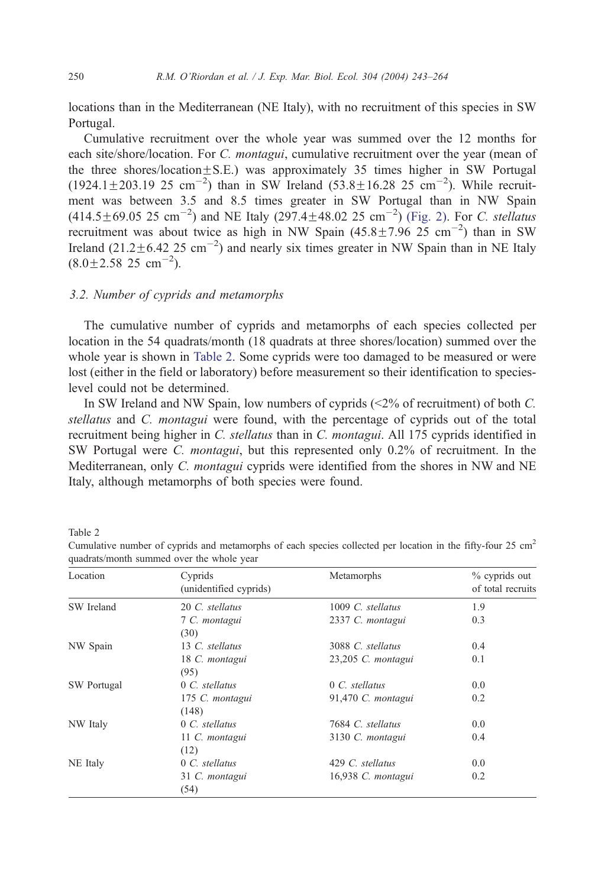locations than in the Mediterranean (NE Italy), with no recruitment of this species in SW Portugal.

Cumulative recruitment over the whole year was summed over the 12 months for each site/shore/location. For C. montagui, cumulative recruitment over the year (mean of the three shores/location $\pm$ S.E.) was approximately 35 times higher in SW Portugal  $(1924.1 \pm 203.19 \text{ } 25 \text{ cm}^{-2})$  than in SW Ireland  $(53.8 \pm 16.28 \text{ } 25 \text{ cm}^{-2})$ . While recruitment was between 3.5 and 8.5 times greater in SW Portugal than in NW Spain  $(414.5 \pm 69.05 \, 25 \, \text{cm}^{-2})$  and NE Italy  $(297.4 \pm 48.02 \, 25 \, \text{cm}^{-2})$  [\(Fig. 2\).](#page-6-0) For C. stellatus recruitment was about twice as high in NW Spain  $(45.8 \pm 7.96 \ 25 \text{ cm}^{-2})$  than in SW Ireland  $(21.2 \pm 6.42 \times 25 \text{ cm}^{-2})$  and nearly six times greater in NW Spain than in NE Italy  $(8.0 \pm 2.58 \ 25 \ \text{cm}^{-2}).$ 

## 3.2. Number of cyprids and metamorphs

The cumulative number of cyprids and metamorphs of each species collected per location in the 54 quadrats/month (18 quadrats at three shores/location) summed over the whole year is shown in Table 2. Some cyprids were too damaged to be measured or were lost (either in the field or laboratory) before measurement so their identification to specieslevel could not be determined.

In SW Ireland and NW Spain, low numbers of cyprids (<2% of recruitment) of both C. stellatus and C. montagui were found, with the percentage of cyprids out of the total recruitment being higher in C. stellatus than in C. montagui. All 175 cyprids identified in SW Portugal were C. montagui, but this represented only 0.2% of recruitment. In the Mediterranean, only C. montagui cyprids were identified from the shores in NW and NE Italy, although metamorphs of both species were found.

Table 2

| Location    | Cyprids<br>(unidentified cyprids) | Metamorphs          | % cyprids out<br>of total recruits |
|-------------|-----------------------------------|---------------------|------------------------------------|
| SW Ireland  | 20 C. stellatus                   | 1009 C. stellatus   | 1.9                                |
|             | 7 C. montagui<br>(30)             | 2337 C. montagui    | 0.3                                |
| NW Spain    | 13 C. stellatus                   | 3088 C. stellatus   | 0.4                                |
|             | 18 C. montagui<br>(95)            | 23,205 C. montagui  | 0.1                                |
| SW Portugal | $0 \, C.$ stellatus               | $0 \, C.$ stellatus | 0.0                                |
|             | 175 C. montagui<br>(148)          | 91,470 C. montagui  | 0.2                                |
| NW Italy    | $0 \, C.$ stellatus               | 7684 C. stellatus   | 0.0                                |
|             | 11 C. montagui<br>(12)            | 3130 C. montagui    | 0.4                                |
| NE Italy    | $0 \, C.$ stellatus               | 429 C. stellatus    | 0.0                                |
|             | 31 C. montagui<br>(54)            | 16,938 C. montagui  | 0.2                                |

Cumulative number of cyprids and metamorphs of each species collected per location in the fifty-four 25 cm<sup>2</sup> quadrats/month summed over the whole year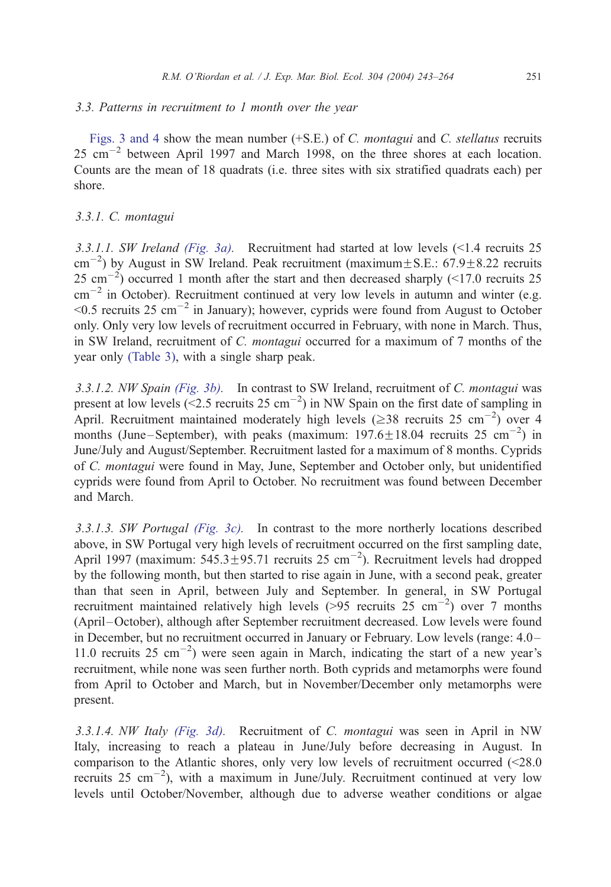### 3.3. Patterns in recruitment to 1 month over the year

[Figs. 3 and 4](#page-9-0) show the mean number (+S.E.) of C. montagui and C. stellatus recruits  $25 \text{ cm}^{-2}$  between April 1997 and March 1998, on the three shores at each location. Counts are the mean of 18 quadrats (i.e. three sites with six stratified quadrats each) per shore.

## 3.3.1. C. montagui

3.3.1.1. SW Ireland [\(Fig. 3a\).](#page-9-0) Recruitment had started at low levels (<1.4 recruits 25  $\text{cm}^{-2}$ ) by August in SW Ireland. Peak recruitment (maximum $\pm$ S.E.: 67.9 $\pm$ 8.22 recruits 25 cm<sup> $-2$ </sup>) occurred 1 month after the start and then decreased sharply (<17.0 recruits 25  $\text{cm}^{-2}$  in October). Recruitment continued at very low levels in autumn and winter (e.g.  $\leq 0.5$  recruits 25 cm<sup>-2</sup> in January); however, cyprids were found from August to October only. Only very low levels of recruitment occurred in February, with none in March. Thus, in SW Ireland, recruitment of C. montagui occurred for a maximum of 7 months of the year only [\(Table 3\),](#page-12-0) with a single sharp peak.

3.3.1.2. NW Spain [\(Fig. 3b\).](#page-9-0) In contrast to SW Ireland, recruitment of C. montagui was present at low levels (<2.5 recruits  $25 \text{ cm}^{-2}$ ) in NW Spain on the first date of sampling in April. Recruitment maintained moderately high levels ( $\geq$ 38 recruits 25 cm<sup>-2</sup>) over 4 months (June–September), with peaks (maximum:  $197.6 \pm 18.04$  recruits 25 cm<sup>-2</sup>) in June/July and August/September. Recruitment lasted for a maximum of 8 months. Cyprids of C. montagui were found in May, June, September and October only, but unidentified cyprids were found from April to October. No recruitment was found between December and March.

3.3.1.3. SW Portugal [\(Fig. 3c\).](#page-9-0) In contrast to the more northerly locations described above, in SW Portugal very high levels of recruitment occurred on the first sampling date, April 1997 (maximum:  $545.3 \pm 95.71$  recruits 25 cm<sup>-2</sup>). Recruitment levels had dropped by the following month, but then started to rise again in June, with a second peak, greater than that seen in April, between July and September. In general, in SW Portugal recruitment maintained relatively high levels ( $>95$  recruits 25 cm<sup>-2</sup>) over 7 months (April –October), although after September recruitment decreased. Low levels were found in December, but no recruitment occurred in January or February. Low levels (range: 4.0 – 11.0 recruits 25 cm-2 ) were seen again in March, indicating the start of a new year's recruitment, while none was seen further north. Both cyprids and metamorphs were found from April to October and March, but in November/December only metamorphs were present.

3.3.1.4. NW Italy [\(Fig. 3d\).](#page-9-0) Recruitment of C. montagui was seen in April in NW Italy, increasing to reach a plateau in June/July before decreasing in August. In comparison to the Atlantic shores, only very low levels of recruitment occurred (<28.0 recruits  $25 \text{ cm}^{-2}$ ), with a maximum in June/July. Recruitment continued at very low levels until October/November, although due to adverse weather conditions or algae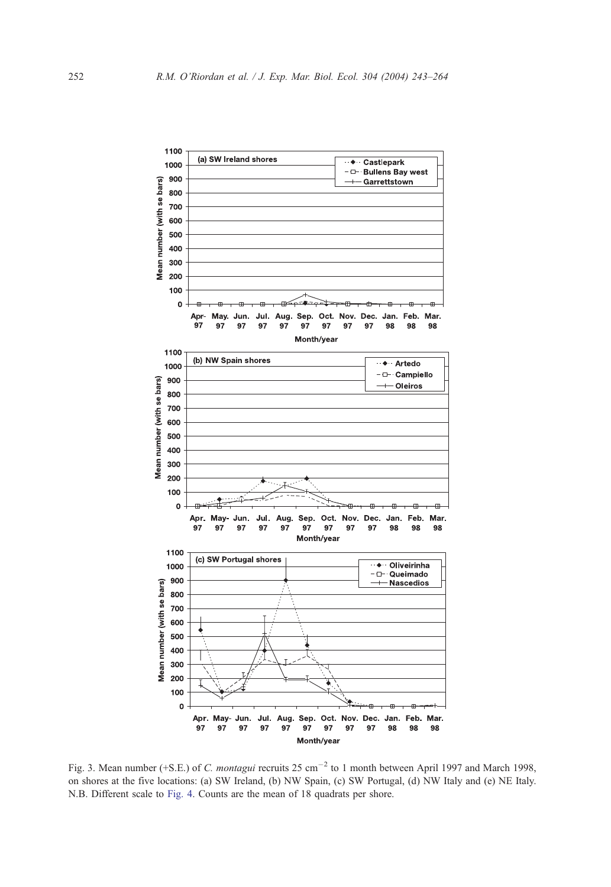<span id="page-9-0"></span>

Fig. 3. Mean number (+S.E.) of C. montagui recruits  $25 \text{ cm}^{-2}$  to 1 month between April 1997 and March 1998, on shores at the five locations: (a) SW Ireland, (b) NW Spain, (c) SW Portugal, (d) NW Italy and (e) NE Italy. N.B. Different scale to [Fig. 4.](#page-11-0) Counts are the mean of 18 quadrats per shore.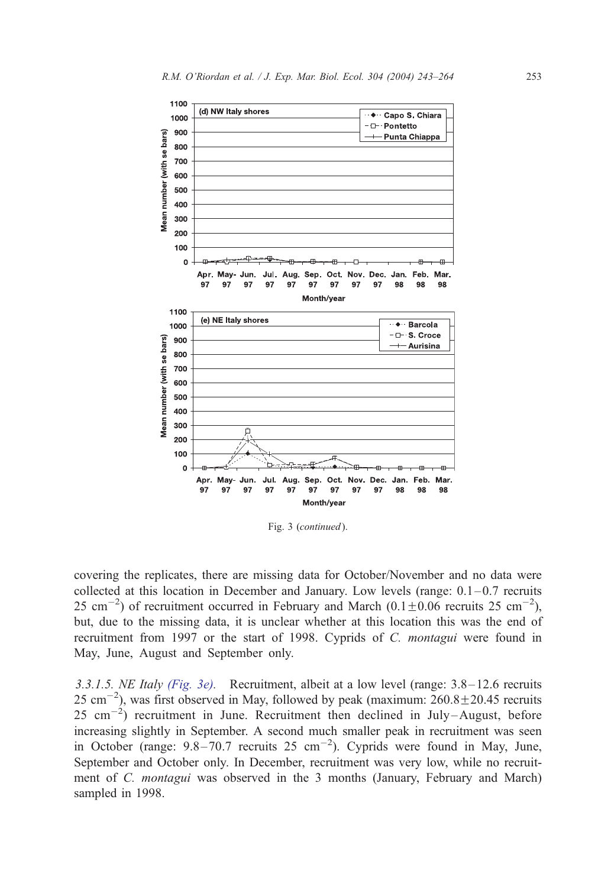

Fig. 3 (continued).

covering the replicates, there are missing data for October/November and no data were collected at this location in December and January. Low levels (range:  $0.1-0.7$  recruits 25 cm<sup>-2</sup>) of recruitment occurred in February and March  $(0.1 \pm 0.06$  recruits 25 cm<sup>-2</sup>), but, due to the missing data, it is unclear whether at this location this was the end of recruitment from 1997 or the start of 1998. Cyprids of C. montagui were found in May, June, August and September only.

3.3.1.5. NE Italy [\(Fig. 3e\).](#page-9-0) Recruitment, albeit at a low level (range: 3.8–12.6 recruits 25 cm<sup>-2</sup>), was first observed in May, followed by peak (maximum:  $260.8 \pm 20.45$  recruits  $25 \text{ cm}^{-2}$ ) recruitment in June. Recruitment then declined in July-August, before increasing slightly in September. A second much smaller peak in recruitment was seen in October (range:  $9.8-70.7$  recruits  $25 \text{ cm}^{-2}$ ). Cyprids were found in May, June, September and October only. In December, recruitment was very low, while no recruitment of C. *montagui* was observed in the 3 months (January, February and March) sampled in 1998.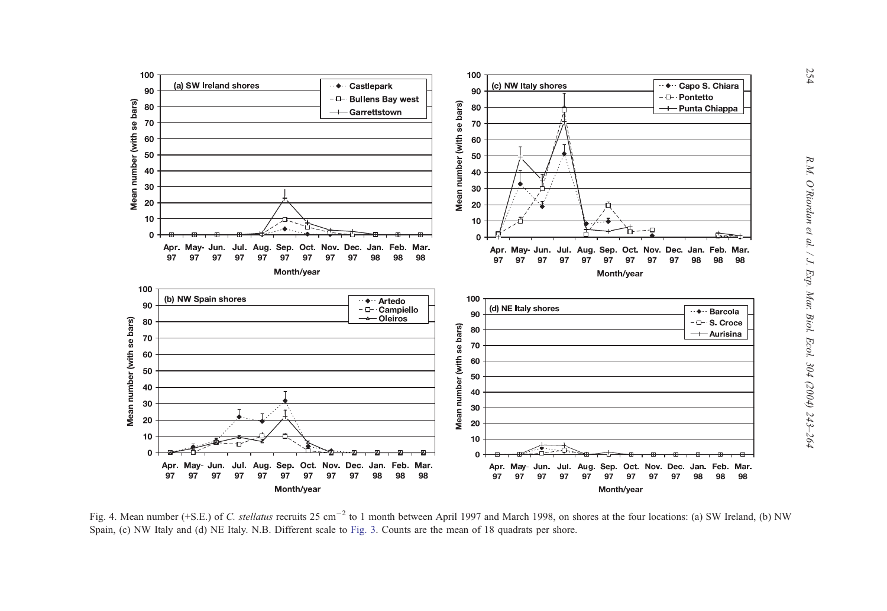<span id="page-11-0"></span>

Fig. 4. Mean number (+S.E.) of C. stellatus recruits 25 cm<sup>-2</sup> to 1 month between April 1997 and March 1998, on shores at the four locations: (a) SW Ireland, (b) NW Spain, (c) NW Italy and (d) NE Italy. N.B. Different scale to [Fig.](#page-9-0) 3. Counts are the mean of 18 quadrats per shore.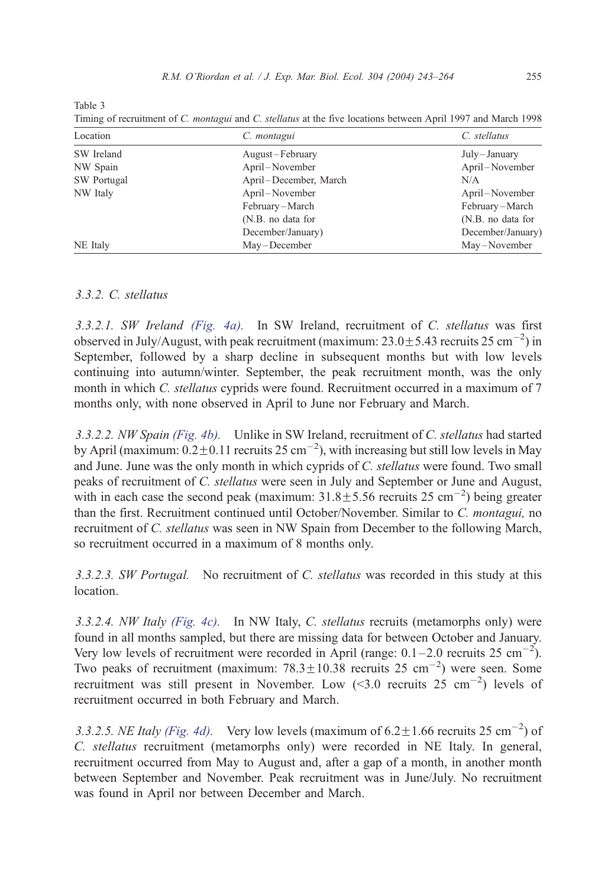<span id="page-12-0"></span>

| .<br>۰,<br>$\sim$ |  |  |  |
|-------------------|--|--|--|
|-------------------|--|--|--|

Timing of recruitment of C. montagui and C. stellatus at the five locations between April 1997 and March 1998

| Location    | C. montagui           | C. stellatus      |
|-------------|-----------------------|-------------------|
| SW Ireland  | August-February       | July-January      |
| NW Spain    | April–November        | April-November    |
| SW Portugal | April-December, March | N/A               |
| NW Italy    | April–November        | April-November    |
|             | February-March        | February-March    |
|             | (N.B. no data for     | (N.B. no data for |
|             | December/January)     | December/January) |
| NE Italy    | May-December          | May-November      |

## 3.3.2. C. stellatus

3.3.2.1. SW Ireland [\(Fig. 4a\).](#page-11-0) In SW Ireland, recruitment of C. stellatus was first observed in July/August, with peak recruitment (maximum:  $23.0 \pm 5.43$  recruits  $25 \text{ cm}^{-2}$ ) in September, followed by a sharp decline in subsequent months but with low levels continuing into autumn/winter. September, the peak recruitment month, was the only month in which C. *stellatus* cyprids were found. Recruitment occurred in a maximum of 7 months only, with none observed in April to June nor February and March.

3.3.2.2. NW Spain [\(Fig. 4b\).](#page-11-0) Unlike in SW Ireland, recruitment of C. stellatus had started by April (maximum:  $0.2 \pm 0.11$  recruits 25 cm<sup>-2</sup>), with increasing but still low levels in May and June. June was the only month in which cyprids of C. stellatus were found. Two small peaks of recruitment of C. stellatus were seen in July and September or June and August, with in each case the second peak (maximum:  $31.8 \pm 5.56$  recruits 25 cm<sup>-2</sup>) being greater than the first. Recruitment continued until October/November. Similar to C. montagui, no recruitment of C. stellatus was seen in NW Spain from December to the following March, so recruitment occurred in a maximum of 8 months only.

3.3.2.3. SW Portugal. No recruitment of C. stellatus was recorded in this study at this location.

3.3.2.4. *NW Italy (Fig. 4c)*. In NW Italy, *C. stellatus* recruits (metamorphs only) were found in all months sampled, but there are missing data for between October and January. Very low levels of recruitment were recorded in April (range:  $0.1-2.0$  recruits  $25 \text{ cm}^{-2}$ ). Two peaks of recruitment (maximum:  $78.3 \pm 10.38$  recruits 25 cm<sup>-2</sup>) were seen. Some recruitment was still present in November. Low  $(<3.0$  recruits 25 cm<sup>-2</sup>) levels of recruitment occurred in both February and March.

3.3.2.5. NE Italy [\(Fig. 4d\).](#page-11-0) Very low levels (maximum of  $6.2 \pm 1.66$  recruits  $25 \text{ cm}^{-2}$ ) of C. stellatus recruitment (metamorphs only) were recorded in NE Italy. In general, recruitment occurred from May to August and, after a gap of a month, in another month between September and November. Peak recruitment was in June/July. No recruitment was found in April nor between December and March.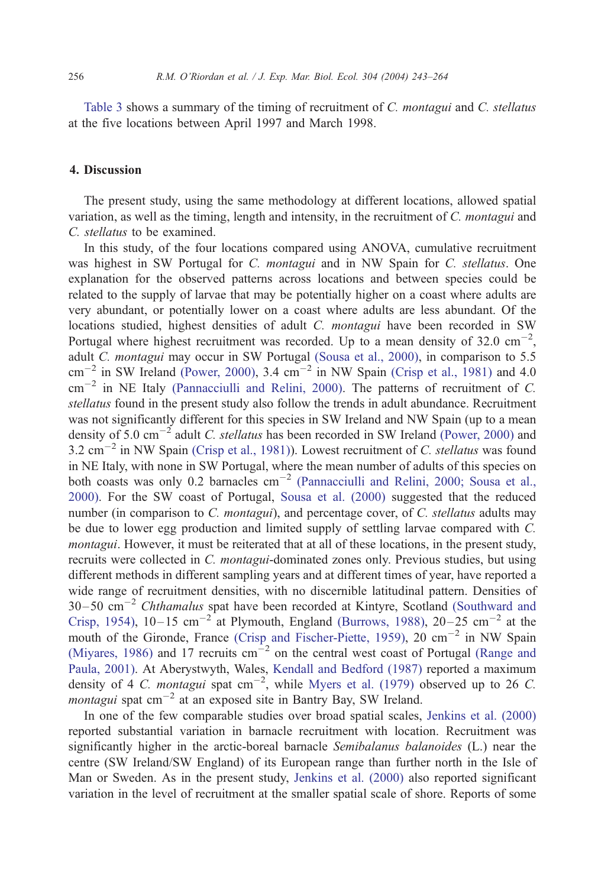[Table 3](#page-12-0) shows a summary of the timing of recruitment of C. montagui and C. stellatus at the five locations between April 1997 and March 1998.

## 4. Discussion

The present study, using the same methodology at different locations, allowed spatial variation, as well as the timing, length and intensity, in the recruitment of C. montagui and C. stellatus to be examined.

In this study, of the four locations compared using ANOVA, cumulative recruitment was highest in SW Portugal for C. *montagui* and in NW Spain for C. *stellatus*. One explanation for the observed patterns across locations and between species could be related to the supply of larvae that may be potentially higher on a coast where adults are very abundant, or potentially lower on a coast where adults are less abundant. Of the locations studied, highest densities of adult C. montagui have been recorded in SW Portugal where highest recruitment was recorded. Up to a mean density of 32.0  $\text{cm}^{-2}$ , adult C. montagui may occur in SW Portugal [\(Sousa et al., 2000\),](#page-21-0) in comparison to 5.5  $\text{cm}^{-2}$  in SW Ireland [\(Power, 2000\),](#page-21-0) 3.4  $\text{cm}^{-2}$  in NW Spain [\(Crisp et al., 1981\)](#page-19-0) and 4.0  $\text{cm}^{-2}$  in NE Italy [\(Pannacciulli and Relini, 2000\).](#page-21-0) The patterns of recruitment of C. stellatus found in the present study also follow the trends in adult abundance. Recruitment was not significantly different for this species in SW Ireland and NW Spain (up to a mean density of 5.0 cm<sup>-2</sup> adult *C. stellatus* has been recorded in SW Ireland [\(Power, 2000\)](#page-21-0) and 3.2  $\text{cm}^{-2}$  in NW Spain [\(Crisp et al., 1981\)\)](#page-19-0). Lowest recruitment of C. stellatus was found in NE Italy, with none in SW Portugal, where the mean number of adults of this species on both coasts was only 0.2 barnacles cm<sup>-2</sup> [\(Pannacciulli and Relini, 2000; Sousa et al.,](#page-21-0) 2000). For the SW coast of Portugal, [Sousa et al. \(2000\)](#page-21-0) suggested that the reduced number (in comparison to C. *montagui*), and percentage cover, of C. *stellatus* adults may be due to lower egg production and limited supply of settling larvae compared with C. montagui. However, it must be reiterated that at all of these locations, in the present study, recruits were collected in C. montagui-dominated zones only. Previous studies, but using different methods in different sampling years and at different times of year, have reported a wide range of recruitment densities, with no discernible latitudinal pattern. Densities of  $30-50$   $\text{cm}^{-2}$  Chthamalus spat have been recorded at Kintyre, Scotland [\(Southward and](#page-21-0) Crisp, 1954),  $10-15$  cm<sup>-2</sup> at Plymouth, England [\(Burrows, 1988\),](#page-18-0)  $20-25$  cm<sup>-2</sup> at the mouth of the Gironde, France [\(Crisp and Fischer-Piette, 1959\),](#page-19-0) 20 cm<sup>-2</sup> in NW Spain [\(Miyares, 1986\)](#page-20-0) and 17 recruits  $cm^{-2}$  on the central west coast of Portugal [\(Range and](#page-21-0) Paula, 2001). At Aberystwyth, Wales, [Kendall and Bedford \(1987\)](#page-19-0) reported a maximum density of 4 C. montagui spat  $cm^{-2}$ , while [Myers et al. \(1979\)](#page-20-0) observed up to 26 C. *montagui* spat  $\text{cm}^{-2}$  at an exposed site in Bantry Bay, SW Ireland.

In one of the few comparable studies over broad spatial scales, [Jenkins et al. \(2000\)](#page-19-0) reported substantial variation in barnacle recruitment with location. Recruitment was significantly higher in the arctic-boreal barnacle *Semibalanus balanoides* (L.) near the centre (SW Ireland/SW England) of its European range than further north in the Isle of Man or Sweden. As in the present study, [Jenkins et al. \(2000\)](#page-19-0) also reported significant variation in the level of recruitment at the smaller spatial scale of shore. Reports of some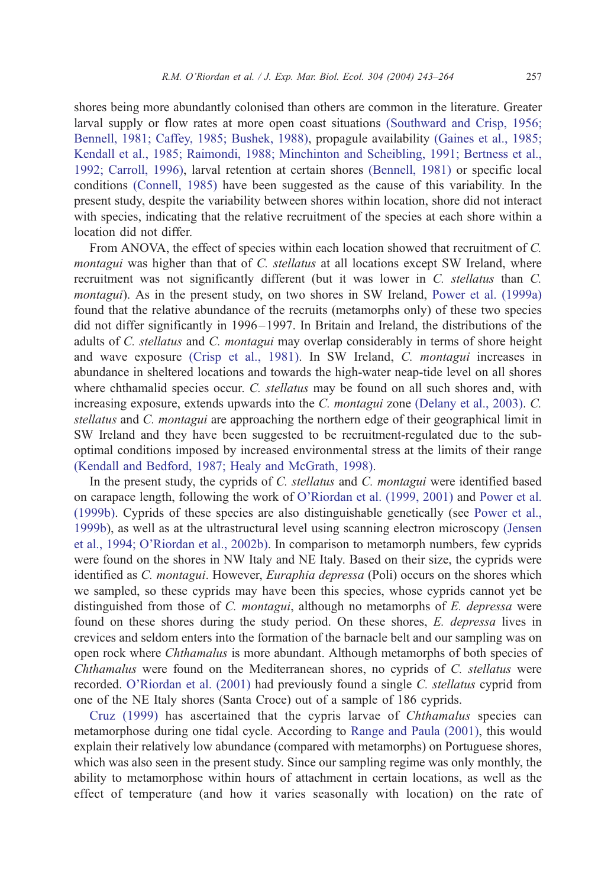shores being more abundantly colonised than others are common in the literature. Greater larval supply or flow rates at more open coast situations [\(Southward and Crisp, 1956;](#page-21-0) Bennell, 1981; Caffey, 1985; Bushek, 1988), propagule availability [\(Gaines et al., 1985;](#page-19-0) Kendall et al., 1985; Raimondi, 1988; Minchinton and Scheibling, 1991; Bertness et al., 1992; Carroll, 1996), larval retention at certain shores [\(Bennell, 1981\)](#page-18-0) or specific local conditions [\(Connell, 1985\)](#page-19-0) have been suggested as the cause of this variability. In the present study, despite the variability between shores within location, shore did not interact with species, indicating that the relative recruitment of the species at each shore within a location did not differ.

From ANOVA, the effect of species within each location showed that recruitment of C. montagui was higher than that of C. stellatus at all locations except SW Ireland, where recruitment was not significantly different (but it was lower in C. stellatus than C. montagui). As in the present study, on two shores in SW Ireland, [Power et al. \(1999a\)](#page-21-0) found that the relative abundance of the recruits (metamorphs only) of these two species did not differ significantly in 1996– 1997. In Britain and Ireland, the distributions of the adults of C. stellatus and C. montagui may overlap considerably in terms of shore height and wave exposure [\(Crisp et al., 1981\).](#page-19-0) In SW Ireland, C. montagui increases in abundance in sheltered locations and towards the high-water neap-tide level on all shores where chthamalid species occur. C. *stellatus* may be found on all such shores and, with increasing exposure, extends upwards into the C. montagui zone [\(Delany et al., 2003\).](#page-19-0) C. stellatus and C. montagui are approaching the northern edge of their geographical limit in SW Ireland and they have been suggested to be recruitment-regulated due to the suboptimal conditions imposed by increased environmental stress at the limits of their range [\(Kendall and Bedford, 1987; Healy and McGrath, 1998\).](#page-19-0)

In the present study, the cyprids of C. *stellatus* and C. *montagui* were identified based on carapace length, following the work of [O'Riordan et al. \(1999, 2001\)](#page-20-0) and [Power et al.](#page-21-0) (1999b). Cyprids of these species are also distinguishable genetically (see [Power et al.,](#page-21-0) 1999b), as well as at the ultrastructural level using scanning electron microscopy [\(Jensen](#page-19-0) et al., 1994; O'Riordan et al., 2002b). In comparison to metamorph numbers, few cyprids were found on the shores in NW Italy and NE Italy. Based on their size, the cyprids were identified as C. montagui. However, Euraphia depressa (Poli) occurs on the shores which we sampled, so these cyprids may have been this species, whose cyprids cannot yet be distinguished from those of C. *montagui*, although no metamorphs of E. *depressa* were found on these shores during the study period. On these shores, E. depressa lives in crevices and seldom enters into the formation of the barnacle belt and our sampling was on open rock where Chthamalus is more abundant. Although metamorphs of both species of Chthamalus were found on the Mediterranean shores, no cyprids of C. stellatus were recorded. [O'Riordan et al. \(2001\)](#page-20-0) had previously found a single C. stellatus cyprid from one of the NE Italy shores (Santa Croce) out of a sample of 186 cyprids.

[Cruz \(1999\)](#page-19-0) has ascertained that the cypris larvae of Chthamalus species can metamorphose during one tidal cycle. According to [Range and Paula \(2001\),](#page-21-0) this would explain their relatively low abundance (compared with metamorphs) on Portuguese shores, which was also seen in the present study. Since our sampling regime was only monthly, the ability to metamorphose within hours of attachment in certain locations, as well as the effect of temperature (and how it varies seasonally with location) on the rate of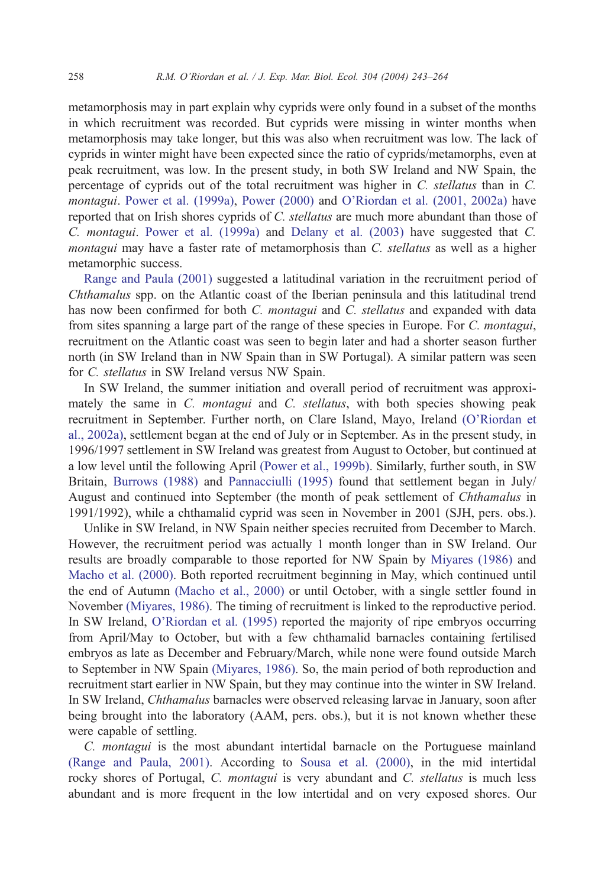metamorphosis may in part explain why cyprids were only found in a subset of the months in which recruitment was recorded. But cyprids were missing in winter months when metamorphosis may take longer, but this was also when recruitment was low. The lack of cyprids in winter might have been expected since the ratio of cyprids/metamorphs, even at peak recruitment, was low. In the present study, in both SW Ireland and NW Spain, the percentage of cyprids out of the total recruitment was higher in C. stellatus than in C. montagui. [Power et al. \(1999a\),](#page-21-0) [Power \(2000\)](#page-21-0) and [O'Riordan et al. \(2001, 2002a\)](#page-20-0) have reported that on Irish shores cyprids of C. *stellatus* are much more abundant than those of C. montagui. [Power et al. \(1999a\)](#page-21-0) and [Delany et al. \(2003\)](#page-19-0) have suggested that C. montagui may have a faster rate of metamorphosis than C. stellatus as well as a higher metamorphic success.

[Range and Paula \(2001\)](#page-21-0) suggested a latitudinal variation in the recruitment period of Chthamalus spp. on the Atlantic coast of the Iberian peninsula and this latitudinal trend has now been confirmed for both C. montagui and C. stellatus and expanded with data from sites spanning a large part of the range of these species in Europe. For C. montagui, recruitment on the Atlantic coast was seen to begin later and had a shorter season further north (in SW Ireland than in NW Spain than in SW Portugal). A similar pattern was seen for C. stellatus in SW Ireland versus NW Spain.

In SW Ireland, the summer initiation and overall period of recruitment was approximately the same in C. *montagui* and C. *stellatus*, with both species showing peak recruitment in September. Further north, on Clare Island, Mayo, Ireland [\(O'Riordan et](#page-20-0) al., 2002a), settlement began at the end of July or in September. As in the present study, in 1996/1997 settlement in SW Ireland was greatest from August to October, but continued at a low level until the following April [\(Power et al., 1999b\).](#page-21-0) Similarly, further south, in SW Britain, [Burrows \(1988\)](#page-18-0) and [Pannacciulli \(1995\)](#page-20-0) found that settlement began in July/ August and continued into September (the month of peak settlement of Chthamalus in 1991/1992), while a chthamalid cyprid was seen in November in 2001 (SJH, pers. obs.).

Unlike in SW Ireland, in NW Spain neither species recruited from December to March. However, the recruitment period was actually 1 month longer than in SW Ireland. Our results are broadly comparable to those reported for NW Spain by [Miyares \(1986\)](#page-20-0) and [Macho et al. \(2000\).](#page-20-0) Both reported recruitment beginning in May, which continued until the end of Autumn [\(Macho et al., 2000\)](#page-20-0) or until October, with a single settler found in November [\(Miyares, 1986\).](#page-20-0) The timing of recruitment is linked to the reproductive period. In SW Ireland, [O'Riordan et al. \(1995\)](#page-20-0) reported the majority of ripe embryos occurring from April/May to October, but with a few chthamalid barnacles containing fertilised embryos as late as December and February/March, while none were found outside March to September in NW Spain [\(Miyares, 1986\).](#page-20-0) So, the main period of both reproduction and recruitment start earlier in NW Spain, but they may continue into the winter in SW Ireland. In SW Ireland, Chthamalus barnacles were observed releasing larvae in January, soon after being brought into the laboratory (AAM, pers. obs.), but it is not known whether these were capable of settling.

C. montagui is the most abundant intertidal barnacle on the Portuguese mainland [\(Range and Paula, 2001\).](#page-21-0) According to [Sousa et al. \(2000\),](#page-21-0) in the mid intertidal rocky shores of Portugal, C. montagui is very abundant and C. stellatus is much less abundant and is more frequent in the low intertidal and on very exposed shores. Our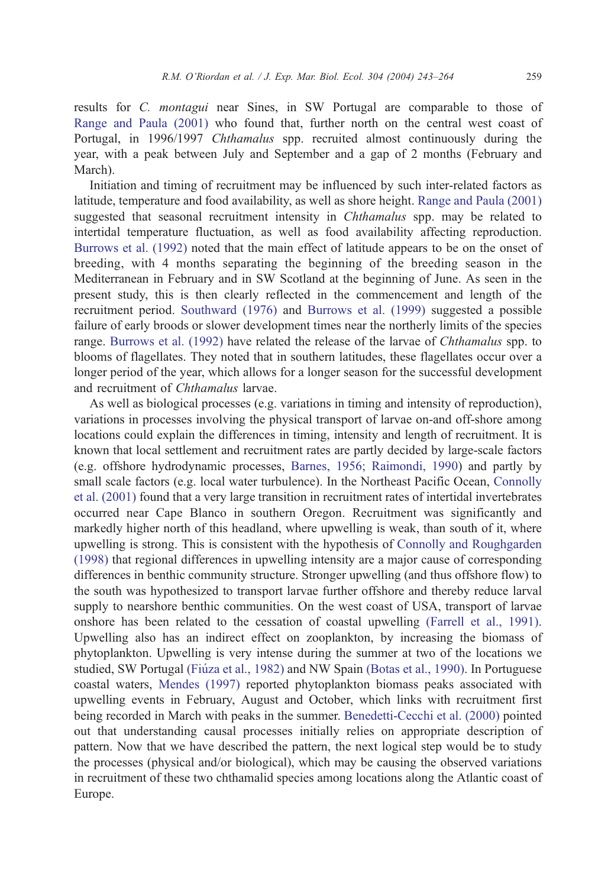results for C. montagui near Sines, in SW Portugal are comparable to those of [Range and Paula \(2001\)](#page-21-0) who found that, further north on the central west coast of Portugal, in 1996/1997 Chthamalus spp. recruited almost continuously during the year, with a peak between July and September and a gap of 2 months (February and March).

Initiation and timing of recruitment may be influenced by such inter-related factors as latitude, temperature and food availability, as well as shore height. [Range and Paula \(2001\)](#page-21-0) suggested that seasonal recruitment intensity in *Chthamalus* spp. may be related to intertidal temperature fluctuation, as well as food availability affecting reproduction. [Burrows et al. \(1992\)](#page-18-0) noted that the main effect of latitude appears to be on the onset of breeding, with 4 months separating the beginning of the breeding season in the Mediterranean in February and in SW Scotland at the beginning of June. As seen in the present study, this is then clearly reflected in the commencement and length of the recruitment period. [Southward \(1976\)](#page-21-0) and [Burrows et al. \(1999\)](#page-18-0) suggested a possible failure of early broods or slower development times near the northerly limits of the species range. [Burrows et al. \(1992\)](#page-18-0) have related the release of the larvae of Chthamalus spp. to blooms of flagellates. They noted that in southern latitudes, these flagellates occur over a longer period of the year, which allows for a longer season for the successful development and recruitment of Chthamalus larvae.

As well as biological processes (e.g. variations in timing and intensity of reproduction), variations in processes involving the physical transport of larvae on-and off-shore among locations could explain the differences in timing, intensity and length of recruitment. It is known that local settlement and recruitment rates are partly decided by large-scale factors (e.g. offshore hydrodynamic processes, [Barnes, 1956; Raimondi, 1990\)](#page-18-0) and partly by small scale factors (e.g. local water turbulence). In the Northeast Pacific Ocean, [Connolly](#page-19-0) et al. (2001) found that a very large transition in recruitment rates of intertidal invertebrates occurred near Cape Blanco in southern Oregon. Recruitment was significantly and markedly higher north of this headland, where upwelling is weak, than south of it, where upwelling is strong. This is consistent with the hypothesis of [Connolly and Roughgarden](#page-19-0) (1998) that regional differences in upwelling intensity are a major cause of corresponding differences in benthic community structure. Stronger upwelling (and thus offshore flow) to the south was hypothesized to transport larvae further offshore and thereby reduce larval supply to nearshore benthic communities. On the west coast of USA, transport of larvae onshore has been related to the cessation of coastal upwelling [\(Farrell et al., 1991\).](#page-19-0) Upwelling also has an indirect effect on zooplankton, by increasing the biomass of phytoplankton. Upwelling is very intense during the summer at two of the locations we studied, SW Portugal (Fiúza et al., 1982) and NW Spain [\(Botas et al., 1990\).](#page-18-0) In Portuguese coastal waters, [Mendes \(1997\)](#page-20-0) reported phytoplankton biomass peaks associated with upwelling events in February, August and October, which links with recruitment first being recorded in March with peaks in the summer. [Benedetti-Cecchi et al. \(2000\)](#page-18-0) pointed out that understanding causal processes initially relies on appropriate description of pattern. Now that we have described the pattern, the next logical step would be to study the processes (physical and/or biological), which may be causing the observed variations in recruitment of these two chthamalid species among locations along the Atlantic coast of Europe.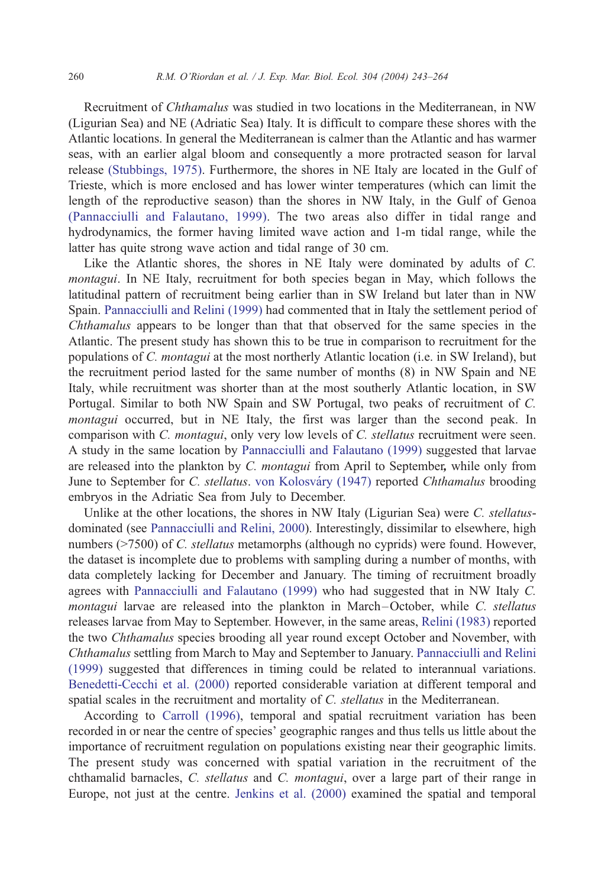Recruitment of Chthamalus was studied in two locations in the Mediterranean, in NW (Ligurian Sea) and NE (Adriatic Sea) Italy. It is difficult to compare these shores with the Atlantic locations. In general the Mediterranean is calmer than the Atlantic and has warmer seas, with an earlier algal bloom and consequently a more protracted season for larval release [\(Stubbings, 1975\).](#page-21-0) Furthermore, the shores in NE Italy are located in the Gulf of Trieste, which is more enclosed and has lower winter temperatures (which can limit the length of the reproductive season) than the shores in NW Italy, in the Gulf of Genoa [\(Pannacciulli and Falautano, 1999\).](#page-21-0) The two areas also differ in tidal range and hydrodynamics, the former having limited wave action and 1-m tidal range, while the latter has quite strong wave action and tidal range of 30 cm.

Like the Atlantic shores, the shores in NE Italy were dominated by adults of C. montagui. In NE Italy, recruitment for both species began in May, which follows the latitudinal pattern of recruitment being earlier than in SW Ireland but later than in NW Spain. [Pannacciulli and Relini \(1999\)](#page-21-0) had commented that in Italy the settlement period of Chthamalus appears to be longer than that that observed for the same species in the Atlantic. The present study has shown this to be true in comparison to recruitment for the populations of C. montagui at the most northerly Atlantic location (i.e. in SW Ireland), but the recruitment period lasted for the same number of months (8) in NW Spain and NE Italy, while recruitment was shorter than at the most southerly Atlantic location, in SW Portugal. Similar to both NW Spain and SW Portugal, two peaks of recruitment of C. montagui occurred, but in NE Italy, the first was larger than the second peak. In comparison with C. montagui, only very low levels of C. stellatus recruitment were seen. A study in the same location by [Pannacciulli and Falautano \(1999\)](#page-21-0) suggested that larvae are released into the plankton by C. montagui from April to September, while only from June to September for C. stellatus. von Kolosváry (1947) reported Chthamalus brooding embryos in the Adriatic Sea from July to December.

Unlike at the other locations, the shores in NW Italy (Ligurian Sea) were C. stellatusdominated (see [Pannacciulli and Relini, 2000\)](#page-21-0). Interestingly, dissimilar to elsewhere, high numbers (>7500) of C. *stellatus* metamorphs (although no cyprids) were found. However, the dataset is incomplete due to problems with sampling during a number of months, with data completely lacking for December and January. The timing of recruitment broadly agrees with [Pannacciulli and Falautano \(1999\)](#page-21-0) who had suggested that in NW Italy C. montagui larvae are released into the plankton in March-October, while C. stellatus releases larvae from May to September. However, in the same areas, [Relini \(1983\)](#page-21-0) reported the two Chthamalus species brooding all year round except October and November, with Chthamalus settling from March to May and September to January. [Pannacciulli and Relini](#page-21-0) (1999) suggested that differences in timing could be related to interannual variations. [Benedetti-Cecchi et al. \(2000\)](#page-18-0) reported considerable variation at different temporal and spatial scales in the recruitment and mortality of C. *stellatus* in the Mediterranean.

According to [Carroll \(1996\),](#page-18-0) temporal and spatial recruitment variation has been recorded in or near the centre of species' geographic ranges and thus tells us little about the importance of recruitment regulation on populations existing near their geographic limits. The present study was concerned with spatial variation in the recruitment of the chthamalid barnacles, C. stellatus and C. montagui, over a large part of their range in Europe, not just at the centre. [Jenkins et al. \(2000\)](#page-19-0) examined the spatial and temporal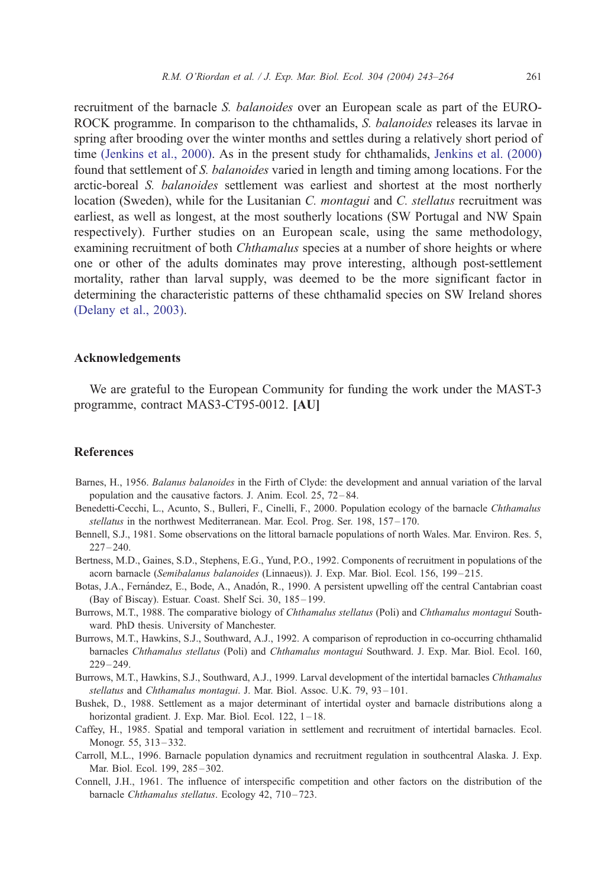<span id="page-18-0"></span>recruitment of the barnacle S. balanoides over an European scale as part of the EURO-ROCK programme. In comparison to the chthamalids, S. balanoides releases its larvae in spring after brooding over the winter months and settles during a relatively short period of time [\(Jenkins et al., 2000\).](#page-19-0) As in the present study for chthamalids, [Jenkins et al. \(2000\)](#page-19-0) found that settlement of S. balanoides varied in length and timing among locations. For the arctic-boreal S. balanoides settlement was earliest and shortest at the most northerly location (Sweden), while for the Lusitanian C. montagui and C. stellatus recruitment was earliest, as well as longest, at the most southerly locations (SW Portugal and NW Spain respectively). Further studies on an European scale, using the same methodology, examining recruitment of both *Chthamalus* species at a number of shore heights or where one or other of the adults dominates may prove interesting, although post-settlement mortality, rather than larval supply, was deemed to be the more significant factor in determining the characteristic patterns of these chthamalid species on SW Ireland shores [\(Delany et al., 2003\).](#page-19-0)

#### Acknowledgements

We are grateful to the European Community for funding the work under the MAST-3 programme, contract MAS3-CT95-0012. [AU]

### References

- Barnes, H., 1956. Balanus balanoides in the Firth of Clyde: the development and annual variation of the larval population and the causative factors. J. Anim. Ecol. 25, 72 – 84.
- Benedetti-Cecchi, L., Acunto, S., Bulleri, F., Cinelli, F., 2000. Population ecology of the barnacle Chthamalus stellatus in the northwest Mediterranean. Mar. Ecol. Prog. Ser. 198, 157-170.
- Bennell, S.J., 1981. Some observations on the littoral barnacle populations of north Wales. Mar. Environ. Res. 5,  $227 - 240.$
- Bertness, M.D., Gaines, S.D., Stephens, E.G., Yund, P.O., 1992. Components of recruitment in populations of the acorn barnacle (Semibalanus balanoides (Linnaeus)). J. Exp. Mar. Biol. Ecol. 156, 199-215.
- Botas, J.A., Fernández, E., Bode, A., Anadón, R., 1990. A persistent upwelling off the central Cantabrian coast (Bay of Biscay). Estuar. Coast. Shelf Sci. 30, 185-199.
- Burrows, M.T., 1988. The comparative biology of Chthamalus stellatus (Poli) and Chthamalus montagui Southward. PhD thesis. University of Manchester.
- Burrows, M.T., Hawkins, S.J., Southward, A.J., 1992. A comparison of reproduction in co-occurring chthamalid barnacles Chthamalus stellatus (Poli) and Chthamalus montagui Southward. J. Exp. Mar. Biol. Ecol. 160, 229 – 249.
- Burrows, M.T., Hawkins, S.J., Southward, A.J., 1999. Larval development of the intertidal barnacles Chthamalus stellatus and Chthamalus montagui. J. Mar. Biol. Assoc. U.K. 79, 93-101.
- Bushek, D., 1988. Settlement as a major determinant of intertidal oyster and barnacle distributions along a horizontal gradient. J. Exp. Mar. Biol. Ecol. 122, 1-18.
- Caffey, H., 1985. Spatial and temporal variation in settlement and recruitment of intertidal barnacles. Ecol. Monogr. 55, 313 – 332.
- Carroll, M.L., 1996. Barnacle population dynamics and recruitment regulation in southcentral Alaska. J. Exp. Mar. Biol. Ecol. 199, 285-302.
- Connell, J.H., 1961. The influence of interspecific competition and other factors on the distribution of the barnacle Chthamalus stellatus. Ecology 42, 710-723.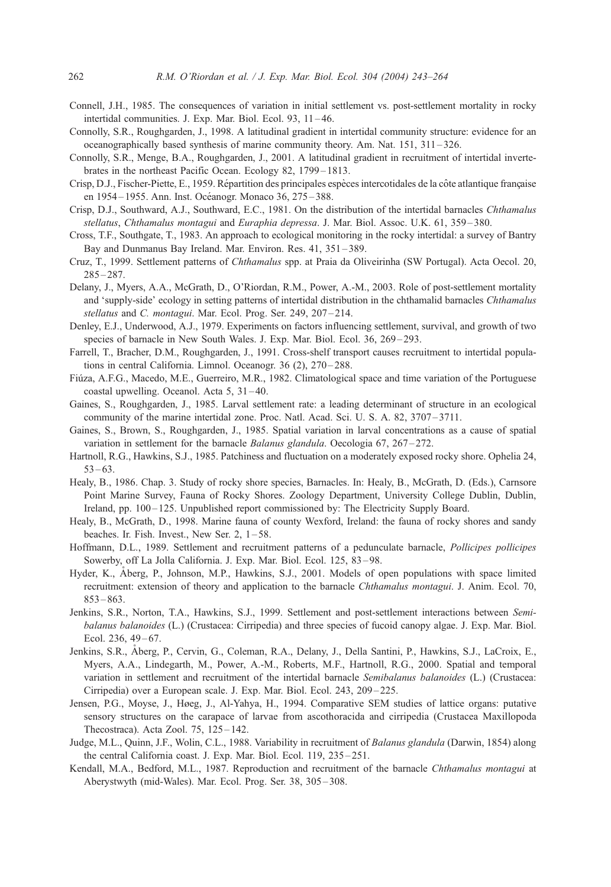- <span id="page-19-0"></span>Connell, J.H., 1985. The consequences of variation in initial settlement vs. post-settlement mortality in rocky intertidal communities. J. Exp. Mar. Biol. Ecol. 93, 11 – 46.
- Connolly, S.R., Roughgarden, J., 1998. A latitudinal gradient in intertidal community structure: evidence for an oceanographically based synthesis of marine community theory. Am. Nat. 151, 311 – 326.
- Connolly, S.R., Menge, B.A., Roughgarden, J., 2001. A latitudinal gradient in recruitment of intertidal invertebrates in the northeast Pacific Ocean. Ecology 82, 1799 – 1813.
- Crisp, D.J., Fischer-Piette, E., 1959. Répartition des principales espèces intercotidales de la côte atlantique française en 1954-1955. Ann. Inst. Océanogr. Monaco 36, 275-388.
- Crisp, D.J., Southward, A.J., Southward, E.C., 1981. On the distribution of the intertidal barnacles Chthamalus stellatus, Chthamalus montagui and Euraphia depressa. J. Mar. Biol. Assoc. U.K. 61, 359-380.
- Cross, T.F., Southgate, T., 1983. An approach to ecological monitoring in the rocky intertidal: a survey of Bantry Bay and Dunmanus Bay Ireland. Mar. Environ. Res. 41, 351 – 389.
- Cruz, T., 1999. Settlement patterns of Chthamalus spp. at Praia da Oliveirinha (SW Portugal). Acta Oecol. 20,  $285 - 287$ .
- Delany, J., Myers, A.A., McGrath, D., O'Riordan, R.M., Power, A.-M., 2003. Role of post-settlement mortality and 'supply-side' ecology in setting patterns of intertidal distribution in the chthamalid barnacles Chthamalus stellatus and C. montagui. Mar. Ecol. Prog. Ser. 249, 207-214.
- Denley, E.J., Underwood, A.J., 1979. Experiments on factors influencing settlement, survival, and growth of two species of barnacle in New South Wales. J. Exp. Mar. Biol. Ecol. 36, 269-293.
- Farrell, T., Bracher, D.M., Roughgarden, J., 1991. Cross-shelf transport causes recruitment to intertidal populations in central California. Limnol. Oceanogr. 36 (2), 270–288.
- Fiúza, A.F.G., Macedo, M.E., Guerreiro, M.R., 1982. Climatological space and time variation of the Portuguese coastal upwelling. Oceanol. Acta 5, 31 – 40.
- Gaines, S., Roughgarden, J., 1985. Larval settlement rate: a leading determinant of structure in an ecological community of the marine intertidal zone. Proc. Natl. Acad. Sci. U. S. A. 82, 3707-3711.
- Gaines, S., Brown, S., Roughgarden, J., 1985. Spatial variation in larval concentrations as a cause of spatial variation in settlement for the barnacle *Balanus glandula*. Oecologia 67, 267–272.
- Hartnoll, R.G., Hawkins, S.J., 1985. Patchiness and fluctuation on a moderately exposed rocky shore. Ophelia 24,  $53 - 63$
- Healy, B., 1986. Chap. 3. Study of rocky shore species, Barnacles. In: Healy, B., McGrath, D. (Eds.), Carnsore Point Marine Survey, Fauna of Rocky Shores. Zoology Department, University College Dublin, Dublin, Ireland, pp. 100 – 125. Unpublished report commissioned by: The Electricity Supply Board.
- Healy, B., McGrath, D., 1998. Marine fauna of county Wexford, Ireland: the fauna of rocky shores and sandy beaches. Ir. Fish. Invest., New Ser.  $2$ ,  $1-58$ .
- Hoffmann, D.L., 1989. Settlement and recruitment patterns of a pedunculate barnacle, Pollicipes pollicipes Sowerby, off La Jolla California. J. Exp. Mar. Biol. Ecol. 125, 83-98.
- Hyder, K., Åberg, P., Johnson, M.P., Hawkins, S.J., 2001. Models of open populations with space limited recruitment: extension of theory and application to the barnacle Chthamalus montagui. J. Anim. Ecol. 70,  $853 - 863.$
- Jenkins, S.R., Norton, T.A., Hawkins, S.J., 1999. Settlement and post-settlement interactions between Semibalanus balanoides (L.) (Crustacea: Cirripedia) and three species of fucoid canopy algae. J. Exp. Mar. Biol. Ecol. 236, 49-67.
- Jenkins, S.R., Aberg, P., Cervin, G., Coleman, R.A., Delany, J., Della Santini, P., Hawkins, S.J., LaCroix, E., Myers, A.A., Lindegarth, M., Power, A.-M., Roberts, M.F., Hartnoll, R.G., 2000. Spatial and temporal variation in settlement and recruitment of the intertidal barnacle Semibalanus balanoides (L.) (Crustacea: Cirripedia) over a European scale. J. Exp. Mar. Biol. Ecol. 243, 209 – 225.
- Jensen, P.G., Moyse, J., Høeg, J., Al-Yahya, H., 1994. Comparative SEM studies of lattice organs: putative sensory structures on the carapace of larvae from ascothoracida and cirripedia (Crustacea Maxillopoda Thecostraca). Acta Zool. 75, 125 – 142.
- Judge, M.L., Quinn, J.F., Wolin, C.L., 1988. Variability in recruitment of Balanus glandula (Darwin, 1854) along the central California coast. J. Exp. Mar. Biol. Ecol. 119, 235 – 251.
- Kendall, M.A., Bedford, M.L., 1987. Reproduction and recruitment of the barnacle Chthamalus montagui at Aberystwyth (mid-Wales). Mar. Ecol. Prog. Ser. 38, 305 – 308.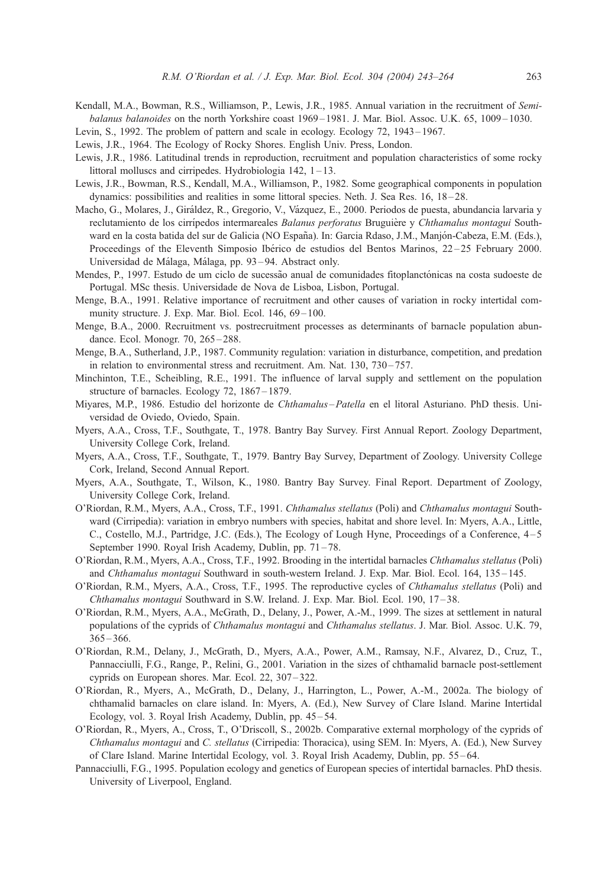- <span id="page-20-0"></span>Kendall, M.A., Bowman, R.S., Williamson, P., Lewis, J.R., 1985. Annual variation in the recruitment of Semibalanus balanoides on the north Yorkshire coast 1969–1981. J. Mar. Biol. Assoc. U.K. 65, 1009–1030.
- Levin, S., 1992. The problem of pattern and scale in ecology. Ecology 72, 1943 1967.
- Lewis, J.R., 1964. The Ecology of Rocky Shores. English Univ. Press, London.
- Lewis, J.R., 1986. Latitudinal trends in reproduction, recruitment and population characteristics of some rocky littoral molluscs and cirripedes. Hydrobiologia 142, 1-13.
- Lewis, J.R., Bowman, R.S., Kendall, M.A., Williamson, P., 1982. Some geographical components in population dynamics: possibilities and realities in some littoral species. Neth. J. Sea Res. 16, 18-28.
- Macho, G., Molares, J., Giráldez, R., Gregorio, V., Vázquez, E., 2000. Periodos de puesta, abundancia larvaria y reclutamiento de los cirrípedos intermareales Balanus perforatus Bruguière y Chthamalus montagui Southward en la costa batida del sur de Galicia (NO España). In: Garcia Rdaso, J.M., Manjón-Cabeza, E.M. (Eds.), Proceedings of the Eleventh Simposio Ibérico de estudios del Bentos Marinos, 22–25 February 2000. Universidad de Málaga, Málaga, pp. 93-94. Abstract only.
- Mendes, P., 1997. Estudo de um ciclo de sucessão anual de comunidades fitoplanctónicas na costa sudoeste de Portugal. MSc thesis. Universidade de Nova de Lisboa, Lisbon, Portugal.
- Menge, B.A., 1991. Relative importance of recruitment and other causes of variation in rocky intertidal community structure. J. Exp. Mar. Biol. Ecol. 146, 69-100.
- Menge, B.A., 2000. Recruitment vs. postrecruitment processes as determinants of barnacle population abundance. Ecol. Monogr. 70, 265 – 288.
- Menge, B.A., Sutherland, J.P., 1987. Community regulation: variation in disturbance, competition, and predation in relation to environmental stress and recruitment. Am. Nat.  $130$ ,  $730 - 757$ .
- Minchinton, T.E., Scheibling, R.E., 1991. The influence of larval supply and settlement on the population structure of barnacles. Ecology 72, 1867–1879.
- Miyares, M.P., 1986. Estudio del horizonte de Chthamalus-Patella en el litoral Asturiano. PhD thesis. Universidad de Oviedo, Oviedo, Spain.
- Myers, A.A., Cross, T.F., Southgate, T., 1978. Bantry Bay Survey. First Annual Report. Zoology Department, University College Cork, Ireland.
- Myers, A.A., Cross, T.F., Southgate, T., 1979. Bantry Bay Survey, Department of Zoology. University College Cork, Ireland, Second Annual Report.
- Myers, A.A., Southgate, T., Wilson, K., 1980. Bantry Bay Survey. Final Report. Department of Zoology, University College Cork, Ireland.
- O'Riordan, R.M., Myers, A.A., Cross, T.F., 1991. Chthamalus stellatus (Poli) and Chthamalus montagui Southward (Cirripedia): variation in embryo numbers with species, habitat and shore level. In: Myers, A.A., Little, C., Costello, M.J., Partridge, J.C. (Eds.), The Ecology of Lough Hyne, Proceedings of a Conference, 4 – 5 September 1990. Royal Irish Academy, Dublin, pp. 71-78.
- O'Riordan, R.M., Myers, A.A., Cross, T.F., 1992. Brooding in the intertidal barnacles Chthamalus stellatus (Poli) and Chthamalus montagui Southward in south-western Ireland. J. Exp. Mar. Biol. Ecol. 164, 135-145.
- O'Riordan, R.M., Myers, A.A., Cross, T.F., 1995. The reproductive cycles of Chthamalus stellatus (Poli) and Chthamalus montagui Southward in S.W. Ireland. J. Exp. Mar. Biol. Ecol. 190, 17 – 38.
- O'Riordan, R.M., Myers, A.A., McGrath, D., Delany, J., Power, A.-M., 1999. The sizes at settlement in natural populations of the cyprids of Chthamalus montagui and Chthamalus stellatus. J. Mar. Biol. Assoc. U.K. 79,  $365 - 366.$
- O'Riordan, R.M., Delany, J., McGrath, D., Myers, A.A., Power, A.M., Ramsay, N.F., Alvarez, D., Cruz, T., Pannacciulli, F.G., Range, P., Relini, G., 2001. Variation in the sizes of chthamalid barnacle post-settlement cyprids on European shores. Mar. Ecol. 22, 307 – 322.
- O'Riordan, R., Myers, A., McGrath, D., Delany, J., Harrington, L., Power, A.-M., 2002a. The biology of chthamalid barnacles on clare island. In: Myers, A. (Ed.), New Survey of Clare Island. Marine Intertidal Ecology, vol. 3. Royal Irish Academy, Dublin, pp. 45-54.
- O'Riordan, R., Myers, A., Cross, T., O'Driscoll, S., 2002b. Comparative external morphology of the cyprids of Chthamalus montagui and C. stellatus (Cirripedia: Thoracica), using SEM. In: Myers, A. (Ed.), New Survey of Clare Island. Marine Intertidal Ecology, vol. 3. Royal Irish Academy, Dublin, pp. 55 – 64.
- Pannacciulli, F.G., 1995. Population ecology and genetics of European species of intertidal barnacles. PhD thesis. University of Liverpool, England.